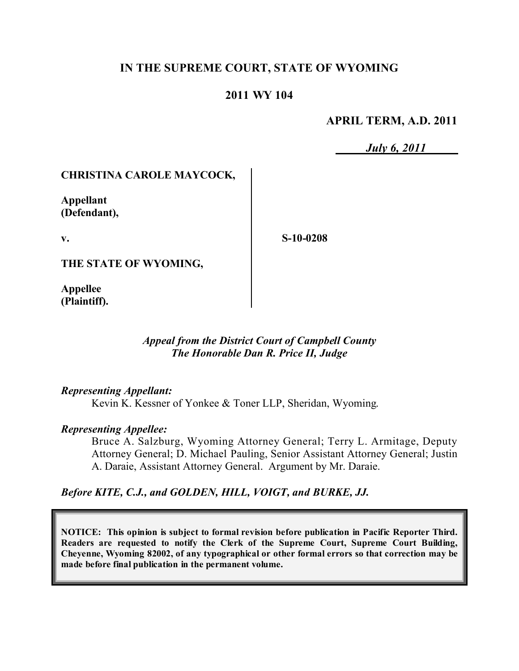# **IN THE SUPREME COURT, STATE OF WYOMING**

## **2011 WY 104**

#### **APRIL TERM, A.D. 2011**

*July 6, 2011*

## **CHRISTINA CAROLE MAYCOCK,**

**Appellant (Defendant),**

**v.**

**S-10-0208**

**THE STATE OF WYOMING,**

**Appellee (Plaintiff).**

### *Appeal from the District Court of Campbell County The Honorable Dan R. Price II, Judge*

#### *Representing Appellant:*

Kevin K. Kessner of Yonkee & Toner LLP, Sheridan, Wyoming.

#### *Representing Appellee:*

Bruce A. Salzburg, Wyoming Attorney General; Terry L. Armitage, Deputy Attorney General; D. Michael Pauling, Senior Assistant Attorney General; Justin A. Daraie, Assistant Attorney General. Argument by Mr. Daraie.

#### *Before KITE, C.J., and GOLDEN, HILL, VOIGT, and BURKE, JJ.*

**NOTICE: This opinion is subject to formal revision before publication in Pacific Reporter Third. Readers are requested to notify the Clerk of the Supreme Court, Supreme Court Building, Cheyenne, Wyoming 82002, of any typographical or other formal errors so that correction may be made before final publication in the permanent volume.**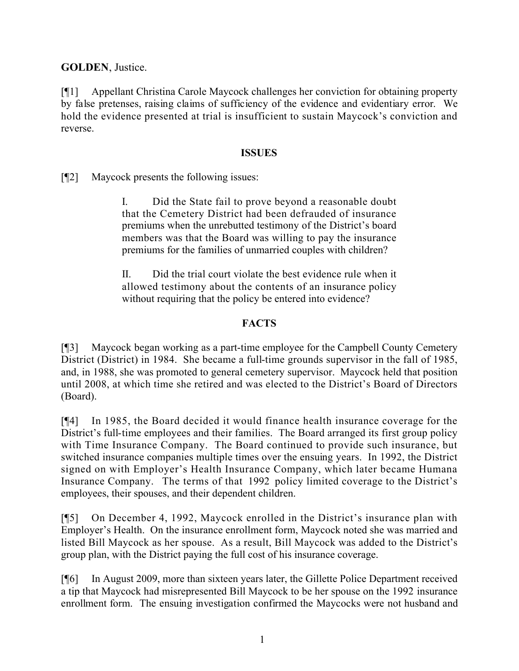**GOLDEN**, Justice.

[¶1] Appellant Christina Carole Maycock challenges her conviction for obtaining property by false pretenses, raising claims of sufficiency of the evidence and evidentiary error. We hold the evidence presented at trial is insufficient to sustain Maycock's conviction and reverse.

### **ISSUES**

[¶2] Maycock presents the following issues:

I. Did the State fail to prove beyond a reasonable doubt that the Cemetery District had been defrauded of insurance premiums when the unrebutted testimony of the District's board members was that the Board was willing to pay the insurance premiums for the families of unmarried couples with children?

II. Did the trial court violate the best evidence rule when it allowed testimony about the contents of an insurance policy without requiring that the policy be entered into evidence?

# **FACTS**

[¶3] Maycock began working as a part-time employee for the Campbell County Cemetery District (District) in 1984. She became a full-time grounds supervisor in the fall of 1985, and, in 1988, she was promoted to general cemetery supervisor. Maycock held that position until 2008, at which time she retired and was elected to the District's Board of Directors (Board).

[¶4] In 1985, the Board decided it would finance health insurance coverage for the District's full-time employees and their families. The Board arranged its first group policy with Time Insurance Company. The Board continued to provide such insurance, but switched insurance companies multiple times over the ensuing years. In 1992, the District signed on with Employer's Health Insurance Company, which later became Humana Insurance Company. The terms of that 1992 policy limited coverage to the District's employees, their spouses, and their dependent children.

[¶5] On December 4, 1992, Maycock enrolled in the District's insurance plan with Employer's Health. On the insurance enrollment form, Maycock noted she was married and listed Bill Maycock as her spouse. As a result, Bill Maycock was added to the District's group plan, with the District paying the full cost of his insurance coverage.

[¶6] In August 2009, more than sixteen years later, the Gillette Police Department received a tip that Maycock had misrepresented Bill Maycock to be her spouse on the 1992 insurance enrollment form. The ensuing investigation confirmed the Maycocks were not husband and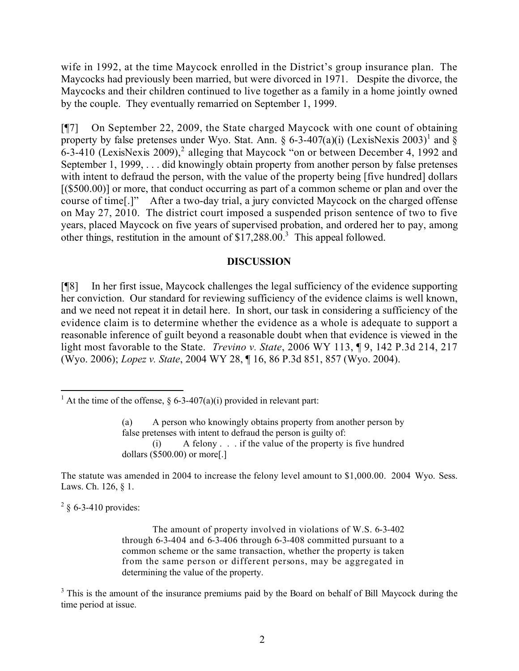wife in 1992, at the time Maycock enrolled in the District's group insurance plan. The Maycocks had previously been married, but were divorced in 1971. Despite the divorce, the Maycocks and their children continued to live together as a family in a home jointly owned by the couple. They eventually remarried on September 1, 1999.

[¶7] On September 22, 2009, the State charged Maycock with one count of obtaining property by false pretenses under Wyo. Stat. Ann. § 6-3-407(a)(i) (LexisNexis 2003)<sup>1</sup> and § 6-3-410 (LexisNexis 2009), 2 alleging that Maycock "on or between December 4, 1992 and September 1, 1999, . . . did knowingly obtain property from another person by false pretenses with intent to defraud the person, with the value of the property being [five hundred] dollars [(\$500.00)] or more, that conduct occurring as part of a common scheme or plan and over the course of time[.]" After a two-day trial, a jury convicted Maycock on the charged offense on May 27, 2010. The district court imposed a suspended prison sentence of two to five years, placed Maycock on five years of supervised probation, and ordered her to pay, among other things, restitution in the amount of  $$17,288.00$ <sup>3</sup>. This appeal followed.

#### **DISCUSSION**

[¶8] In her first issue, Maycock challenges the legal sufficiency of the evidence supporting her conviction. Our standard for reviewing sufficiency of the evidence claims is well known, and we need not repeat it in detail here. In short, our task in considering a sufficiency of the evidence claim is to determine whether the evidence as a whole is adequate to support a reasonable inference of guilt beyond a reasonable doubt when that evidence is viewed in the light most favorable to the State. *Trevino v. State*, 2006 WY 113, ¶ 9, 142 P.3d 214, 217 (Wyo. 2006); *Lopez v. State*, 2004 WY 28, ¶ 16, 86 P.3d 851, 857 (Wyo. 2004).

 $\overline{a}$ 

(a) A person who knowingly obtains property from another person by false pretenses with intent to defraud the person is guilty of: (i) A felony . . . if the value of the property is five hundred dollars (\$500.00) or more[.]

The statute was amended in 2004 to increase the felony level amount to \$1,000.00. 2004 Wyo. Sess. Laws. Ch. 126, § 1.

 $2 \S 6 - 3 - 410$  provides:

The amount of property involved in violations of W.S. 6-3-402 through 6-3-404 and 6-3-406 through 6-3-408 committed pursuant to a common scheme or the same transaction, whether the property is taken from the same person or different persons, may be aggregated in determining the value of the property.

<sup>3</sup> This is the amount of the insurance premiums paid by the Board on behalf of Bill Maycock during the time period at issue.

<sup>&</sup>lt;sup>1</sup> At the time of the offense, § 6-3-407(a)(i) provided in relevant part: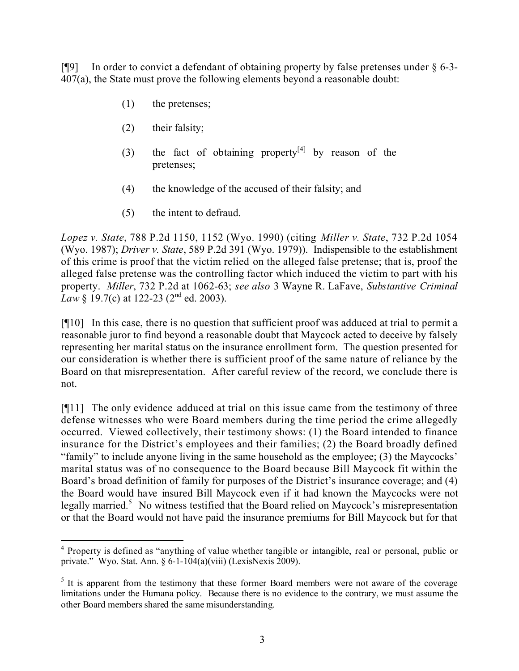[¶9] In order to convict a defendant of obtaining property by false pretenses under § 6-3- 407(a), the State must prove the following elements beyond a reasonable doubt:

- (1) the pretenses;
- (2) their falsity;
- (3) the fact of obtaining property<sup>[4]</sup> by reason of the pretenses;
- (4) the knowledge of the accused of their falsity; and
- (5) the intent to defraud.

*Lopez v. State*, 788 P.2d 1150, 1152 (Wyo. 1990) (citing *Miller v. State*, 732 P.2d 1054 (Wyo. 1987); *Driver v. State*, 589 P.2d 391 (Wyo. 1979)). Indispensible to the establishment of this crime is proof that the victim relied on the alleged false pretense; that is, proof the alleged false pretense was the controlling factor which induced the victim to part with his property. *Miller*, 732 P.2d at 1062-63; *see also* 3 Wayne R. LaFave, *Substantive Criminal Law* § 19.7(c) at 122-23 (2<sup>nd</sup> ed. 2003).

[¶10] In this case, there is no question that sufficient proof was adduced at trial to permit a reasonable juror to find beyond a reasonable doubt that Maycock acted to deceive by falsely representing her marital status on the insurance enrollment form. The question presented for our consideration is whether there is sufficient proof of the same nature of reliance by the Board on that misrepresentation. After careful review of the record, we conclude there is not.

[¶11] The only evidence adduced at trial on this issue came from the testimony of three defense witnesses who were Board members during the time period the crime allegedly occurred. Viewed collectively, their testimony shows: (1) the Board intended to finance insurance for the District's employees and their families; (2) the Board broadly defined "family" to include anyone living in the same household as the employee; (3) the Maycocks' marital status was of no consequence to the Board because Bill Maycock fit within the Board's broad definition of family for purposes of the District's insurance coverage; and (4) the Board would have insured Bill Maycock even if it had known the Maycocks were not legally married.<sup>5</sup> No witness testified that the Board relied on Maycock's misrepresentation or that the Board would not have paid the insurance premiums for Bill Maycock but for that

 <sup>4</sup> Property is defined as "anything of value whether tangible or intangible, real or personal, public or private." Wyo. Stat. Ann.  $\delta$  6-1-104(a)(viii) (LexisNexis 2009).

<sup>&</sup>lt;sup>5</sup> It is apparent from the testimony that these former Board members were not aware of the coverage limitations under the Humana policy. Because there is no evidence to the contrary, we must assume the other Board members shared the same misunderstanding.